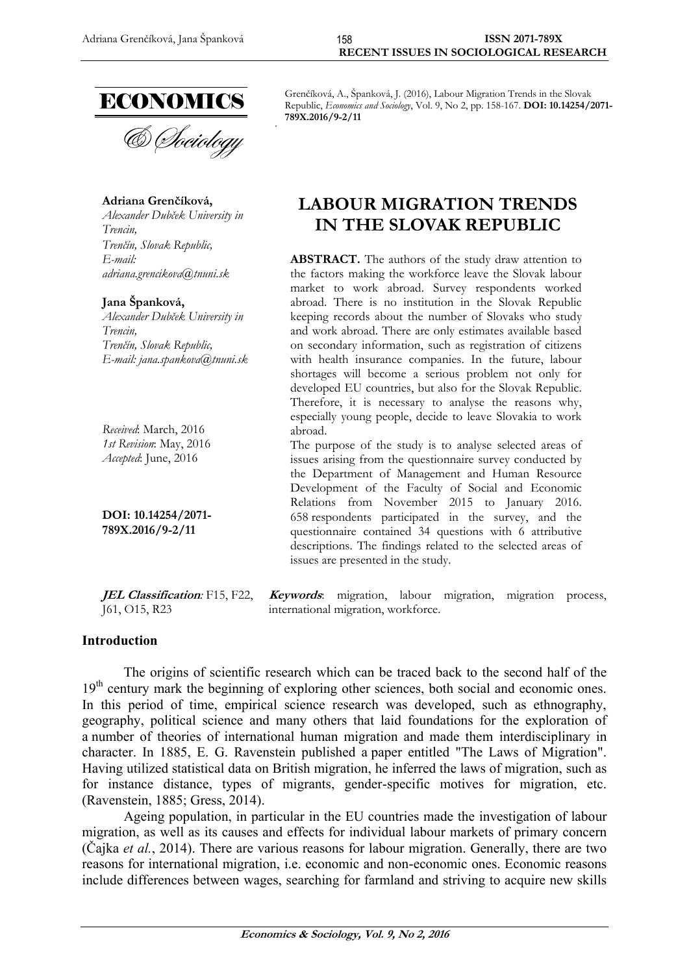

## **Adriana Grenčíková,**

*Alexander Dubček University in Trencin, Trenčín, Slovak Republic, E-mail: [adriana.grencikova@tnuni.sk](mailto:adriana.grencikova@tnuni.sk)*

#### **Jana Španková,**

*Alexander Dubček University in Trencin, Trenčín, Slovak Republic, E-mail: jana.spankova@tnuni.sk*

*Received*: March, 2016 *1st Revision*: May, 2016 *Accepted*: June, 2016

**DOI: 10.14254/2071- 789X.2016/9-2/11**

**JEL Classification***:* F15, F22, J61, O15, R23

Grenčíková, A., Španková, J. (2016), Labour Migration Trends in the Slovak Republic, *Economics and Sociology*, Vol. 9, No 2, pp. 158-167. **DOI: 10.14254/2071- 789X.2016/9-2/11**

# **LABOUR MIGRATION TRENDS IN THE SLOVAK REPUBLIC**

**ABSTRACT.** The authors of the study draw attention to the factors making the workforce leave the Slovak labour market to work abroad. Survey respondents worked abroad. There is no institution in the Slovak Republic keeping records about the number of Slovaks who study and work abroad. There are only estimates available based on secondary information, such as registration of citizens with health insurance companies. In the future, labour shortages will become a serious problem not only for developed EU countries, but also for the Slovak Republic. Therefore, it is necessary to analyse the reasons why, especially young people, decide to leave Slovakia to work abroad.

The purpose of the study is to analyse selected areas of issues arising from the questionnaire survey conducted by the Department of Management and Human Resource Development of the Faculty of Social and Economic Relations from November 2015 to January 2016. 658 respondents participated in the survey, and the questionnaire contained 34 questions with 6 attributive descriptions. The findings related to the selected areas of issues are presented in the study.

**Keywords**: migration, labour migration, migration process, international migration, workforce.

#### **Introduction**

The origins of scientific research which can be traced back to the second half of the 19<sup>th</sup> century mark the beginning of exploring other sciences, both social and economic ones. In this period of time, empirical science research was developed, such as ethnography, geography, political science and many others that laid foundations for the exploration of a number of theories of international human migration and made them interdisciplinary in character. In 1885, E. G. Ravenstein published a paper entitled "The Laws of Migration". Having utilized statistical data on British migration, he inferred the laws of migration, such as for instance distance, types of migrants, gender-specific motives for migration, etc. (Ravenstein, 1885; Gress, 2014).

Ageing population, in particular in the EU countries made the investigation of labour migration, as well as its causes and effects for individual labour markets of primary concern (Čajka *et al.*, 2014). There are various reasons for labour migration. Generally, there are two reasons for international migration, i.e. economic and non-economic ones. Economic reasons include differences between wages, searching for farmland and striving to acquire new skills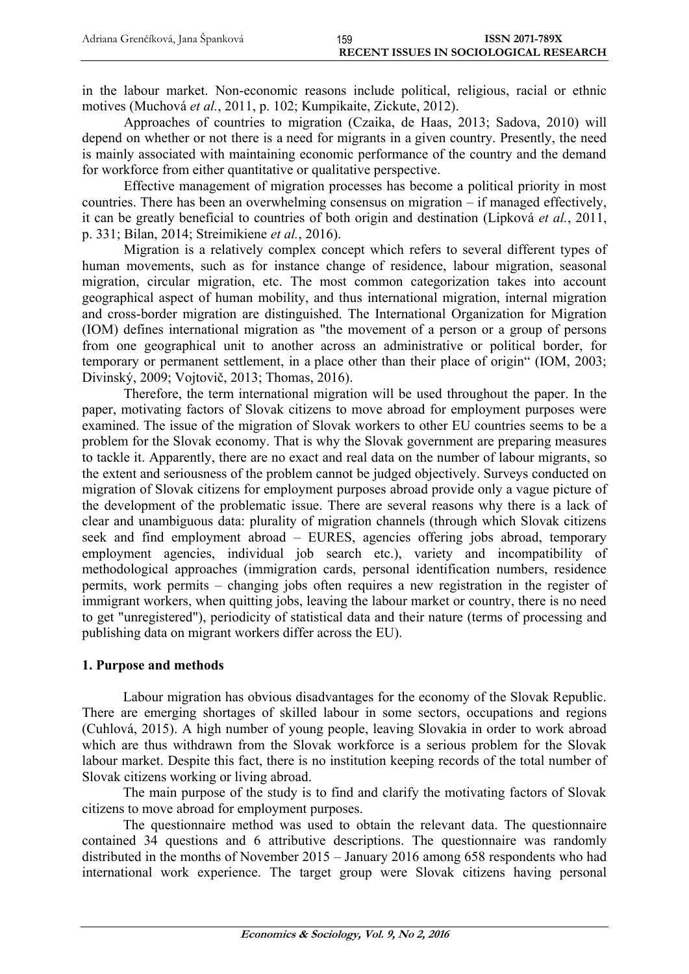in the labour market. Non-economic reasons include political, religious, racial or ethnic motives (Muchová *et al.*, 2011, p. 102; Kumpikaite, Zickute, 2012).

Approaches of countries to migration (Czaika, de Haas, 2013; Sadova, 2010) will depend on whether or not there is a need for migrants in a given country. Presently, the need is mainly associated with maintaining economic performance of the country and the demand for workforce from either quantitative or qualitative perspective.

Effective management of migration processes has become a political priority in most countries. There has been an overwhelming consensus on migration – if managed effectively, it can be greatly beneficial to countries of both origin and destination (Lipková *et al.*, 2011, p. 331; Bilan, 2014; Streimikiene *et al.*, 2016).

Migration is a relatively complex concept which refers to several different types of human movements, such as for instance change of residence, labour migration, seasonal migration, circular migration, etc. The most common categorization takes into account geographical aspect of human mobility, and thus international migration, internal migration and cross-border migration are distinguished. The International Organization for Migration (IOM) defines international migration as "the movement of a person or a group of persons from one geographical unit to another across an administrative or political border, for temporary or permanent settlement, in a place other than their place of origin" (IOM, 2003; Divinský, 2009; Vojtovič, 2013; Thomas, 2016).

Therefore, the term international migration will be used throughout the paper. In the paper, motivating factors of Slovak citizens to move abroad for employment purposes were examined. The issue of the migration of Slovak workers to other EU countries seems to be a problem for the Slovak economy. That is why the Slovak government are preparing measures to tackle it. Apparently, there are no exact and real data on the number of labour migrants, so the extent and seriousness of the problem cannot be judged objectively. Surveys conducted on migration of Slovak citizens for employment purposes abroad provide only a vague picture of the development of the problematic issue. There are several reasons why there is a lack of clear and unambiguous data: plurality of migration channels (through which Slovak citizens seek and find employment abroad – EURES, agencies offering jobs abroad, temporary employment agencies, individual job search etc.), variety and incompatibility of methodological approaches (immigration cards, personal identification numbers, residence permits, work permits – changing jobs often requires a new registration in the register of immigrant workers, when quitting jobs, leaving the labour market or country, there is no need to get "unregistered"), periodicity of statistical data and their nature (terms of processing and publishing data on migrant workers differ across the EU).

# **1. Purpose and methods**

Labour migration has obvious disadvantages for the economy of the Slovak Republic. There are emerging shortages of skilled labour in some sectors, occupations and regions (Cuhlová, 2015). A high number of young people, leaving Slovakia in order to work abroad which are thus withdrawn from the Slovak workforce is a serious problem for the Slovak labour market. Despite this fact, there is no institution keeping records of the total number of Slovak citizens working or living abroad.

The main purpose of the study is to find and clarify the motivating factors of Slovak citizens to move abroad for employment purposes.

The questionnaire method was used to obtain the relevant data. The questionnaire contained 34 questions and 6 attributive descriptions. The questionnaire was randomly distributed in the months of November 2015 – January 2016 among 658 respondents who had international work experience. The target group were Slovak citizens having personal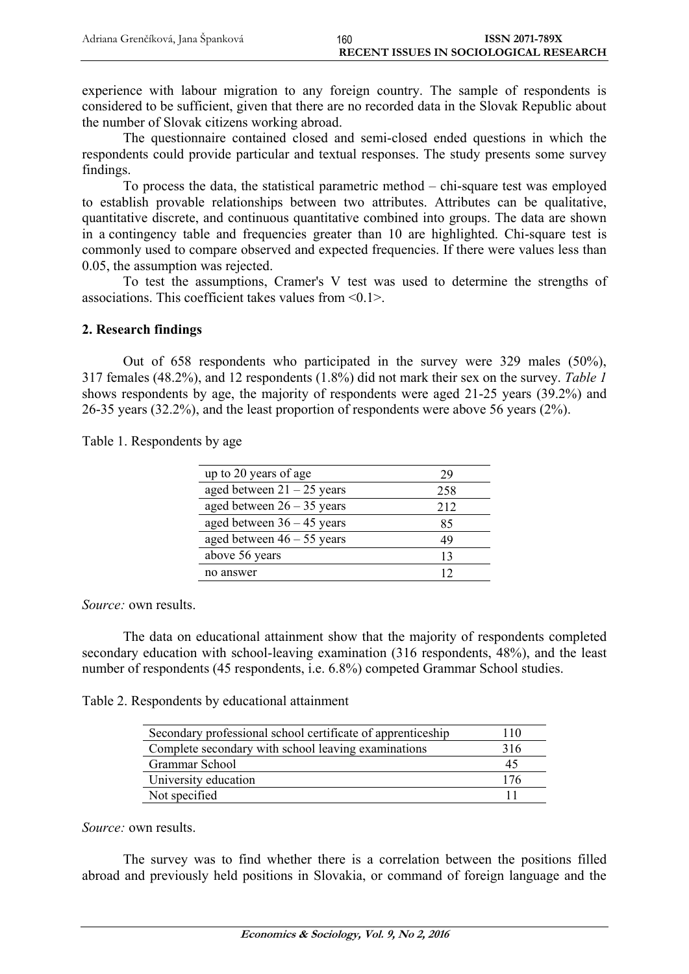experience with labour migration to any foreign country. The sample of respondents is considered to be sufficient, given that there are no recorded data in the Slovak Republic about the number of Slovak citizens working abroad.

The questionnaire contained closed and semi-closed ended questions in which the respondents could provide particular and textual responses. The study presents some survey findings.

To process the data, the statistical parametric method – chi-square test was employed to establish provable relationships between two attributes. Attributes can be qualitative, quantitative discrete, and continuous quantitative combined into groups. The data are shown in a contingency table and frequencies greater than 10 are highlighted. Chi-square test is commonly used to compare observed and expected frequencies. If there were values less than 0.05, the assumption was rejected.

To test the assumptions, Cramer's V test was used to determine the strengths of associations. This coefficient takes values from <0.1>.

## **2. Research findings**

Out of 658 respondents who participated in the survey were 329 males (50%), 317 females (48.2%), and 12 respondents (1.8%) did not mark their sex on the survey. *Table 1*  shows respondents by age, the majority of respondents were aged 21-25 years (39.2%) and 26-35 years (32.2%), and the least proportion of respondents were above 56 years (2%).

| Table 1. Respondents by age |  |
|-----------------------------|--|
|-----------------------------|--|

| up to 20 years of age        | 29  |
|------------------------------|-----|
| aged between $21 - 25$ years | 258 |
| aged between $26 - 35$ years | 212 |
| aged between $36 - 45$ years | 85  |
| aged between $46 - 55$ years | 49  |
| above 56 years               | 13  |
| no answer                    | 12  |

*Source:* own results.

The data on educational attainment show that the majority of respondents completed secondary education with school-leaving examination (316 respondents, 48%), and the least number of respondents (45 respondents, i.e. 6.8%) competed Grammar School studies.

Table 2. Respondents by educational attainment

| Secondary professional school certificate of apprenticeship | 110 |
|-------------------------------------------------------------|-----|
| Complete secondary with school leaving examinations         | 316 |
| Grammar School                                              | 45  |
| University education                                        | 176 |
| Not specified                                               |     |

*Source:* own results.

The survey was to find whether there is a correlation between the positions filled abroad and previously held positions in Slovakia, or command of foreign language and the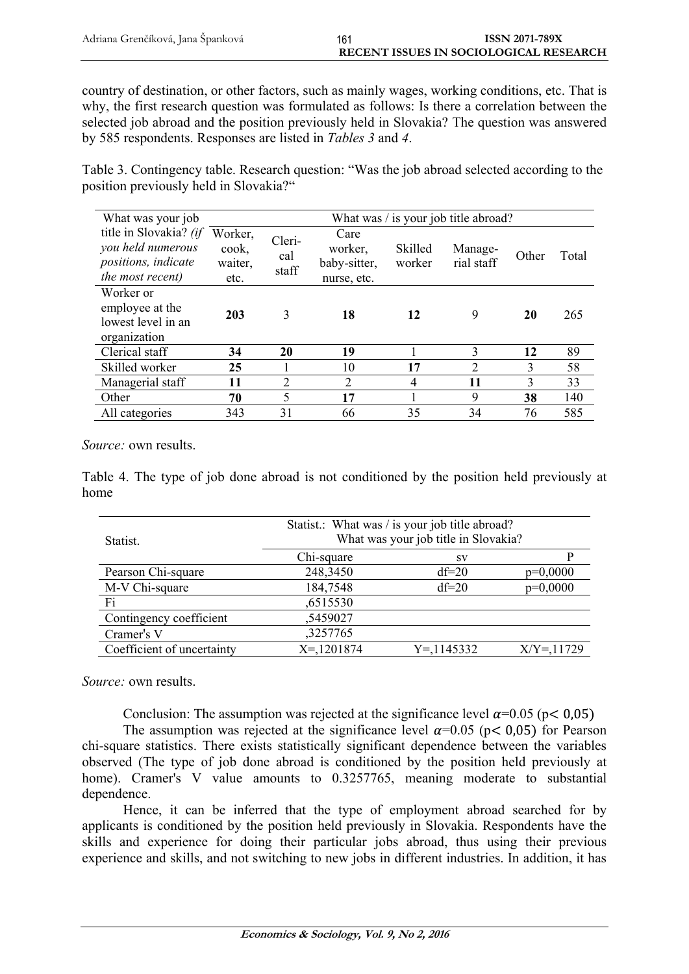country of destination, or other factors, such as mainly wages, working conditions, etc. That is why, the first research question was formulated as follows: Is there a correlation between the selected job abroad and the position previously held in Slovakia? The question was answered by 585 respondents. Responses are listed in *Tables 3* and *4*.

Table 3. Contingency table. Research question: "Was the job abroad selected according to the position previously held in Slovakia?"

| What was your job                                                                      | What was / is your job title abroad? |                        |                                                |                   |                       |       |       |
|----------------------------------------------------------------------------------------|--------------------------------------|------------------------|------------------------------------------------|-------------------|-----------------------|-------|-------|
| title in Slovakia? (if<br>you held numerous<br>positions, indicate<br>the most recent) | Worker,<br>cook,<br>waiter,<br>etc.  | Cleri-<br>cal<br>staff | Care<br>worker,<br>baby-sitter,<br>nurse, etc. | Skilled<br>worker | Manage-<br>rial staff | Other | Total |
| Worker or<br>employee at the<br>lowest level in an<br>organization                     | 203                                  | 3                      | 18                                             | 12                | 9                     | 20    | 265   |
| Clerical staff                                                                         | 34                                   | 20                     | 19                                             |                   | 3                     | 12    | 89    |
| Skilled worker                                                                         | 25                                   |                        | 10                                             | 17                | $\overline{2}$        | 3     | 58    |
| Managerial staff                                                                       | 11                                   | $\overline{2}$         | $\overline{2}$                                 | 4                 | 11                    | 3     | 33    |
| Other                                                                                  | 70                                   | 5                      | 17                                             |                   | 9                     | 38    | 140   |
| All categories                                                                         | 343                                  | 31                     | 66                                             | 35                | 34                    | 76    | 585   |

*Source:* own results.

Table 4. The type of job done abroad is not conditioned by the position held previously at home

| Statist.                   | Statist.: What was / is your job title abroad?<br>What was your job title in Slovakia? |               |               |  |  |
|----------------------------|----------------------------------------------------------------------------------------|---------------|---------------|--|--|
|                            | Chi-square                                                                             | <b>SV</b>     | P             |  |  |
| Pearson Chi-square         | 248,3450                                                                               | $df=20$       | $p=0,0000$    |  |  |
| M-V Chi-square             | 184,7548                                                                               | $df=20$       | $p=0,0000$    |  |  |
| Fi                         | ,6515530                                                                               |               |               |  |  |
| Contingency coefficient    | ,5459027                                                                               |               |               |  |  |
| Cramer's V                 | ,3257765                                                                               |               |               |  |  |
| Coefficient of uncertainty | $X = 1201874$                                                                          | $Y = 1145332$ | $X/Y = 11729$ |  |  |

*Source:* own results.

Conclusion: The assumption was rejected at the significance level  $\alpha$ =0.05 (p< 0,05)

The assumption was rejected at the significance level  $\alpha$ =0.05 (p < 0.05) for Pearson chi-square statistics. There exists statistically significant dependence between the variables observed (The type of job done abroad is conditioned by the position held previously at home). Cramer's V value amounts to 0.3257765, meaning moderate to substantial dependence.

Hence, it can be inferred that the type of employment abroad searched for by applicants is conditioned by the position held previously in Slovakia. Respondents have the skills and experience for doing their particular jobs abroad, thus using their previous experience and skills, and not switching to new jobs in different industries. In addition, it has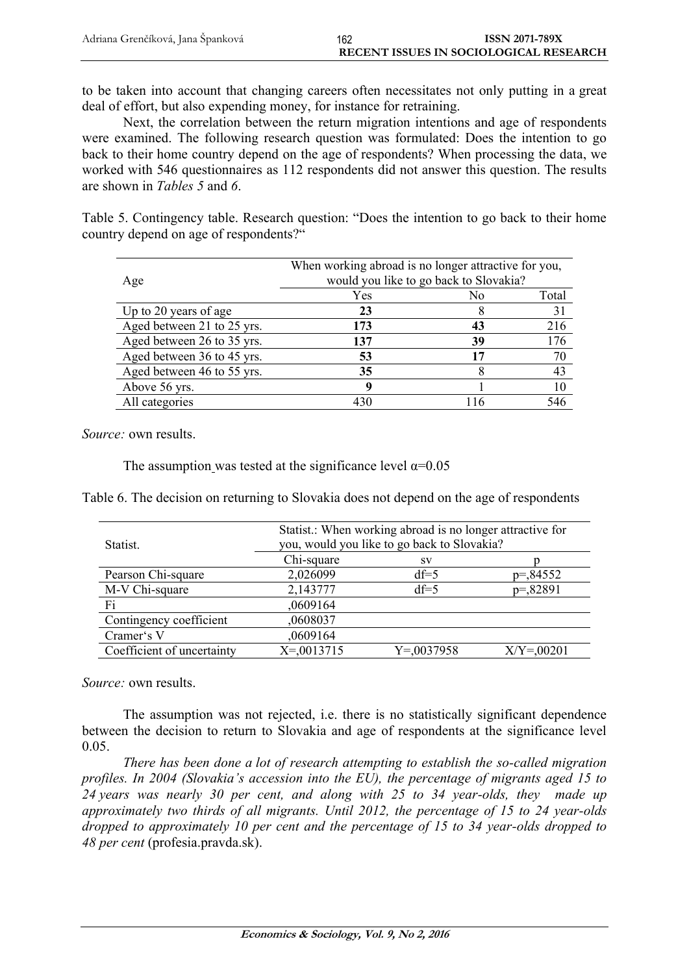to be taken into account that changing careers often necessitates not only putting in a great deal of effort, but also expending money, for instance for retraining.

Next, the correlation between the return migration intentions and age of respondents were examined. The following research question was formulated: Does the intention to go back to their home country depend on the age of respondents? When processing the data, we worked with 546 questionnaires as 112 respondents did not answer this question. The results are shown in *Tables 5* and *6*.

Table 5. Contingency table. Research question: "Does the intention to go back to their home country depend on age of respondents?"

| Age                        | When working abroad is no longer attractive for you,<br>would you like to go back to Slovakia? |     |       |
|----------------------------|------------------------------------------------------------------------------------------------|-----|-------|
|                            | Yes                                                                                            | No  | Total |
| Up to 20 years of age      | 23                                                                                             |     | 31    |
| Aged between 21 to 25 yrs. | 173                                                                                            | 43  | 216   |
| Aged between 26 to 35 yrs. | 137                                                                                            | 39  | 176   |
| Aged between 36 to 45 yrs. | 53                                                                                             | 17  | 70    |
| Aged between 46 to 55 yrs. | 35                                                                                             |     | 43    |
| Above 56 yrs.              |                                                                                                |     | 10    |
| All categories             | 430                                                                                            | 116 | 546   |

*Source:* own results.

The assumption was tested at the significance level  $\alpha$ =0.05

Table 6. The decision on returning to Slovakia does not depend on the age of respondents

| Statist.                   | Statist.: When working abroad is no longer attractive for<br>you, would you like to go back to Slovakia? |                |               |  |  |
|----------------------------|----------------------------------------------------------------------------------------------------------|----------------|---------------|--|--|
|                            | Chi-square                                                                                               | <b>SV</b>      |               |  |  |
| Pearson Chi-square         | 2,026099                                                                                                 | $df=5$         | $p = 84552$   |  |  |
| M-V Chi-square             | 2,143777                                                                                                 | $df=5$         | $p = 82891$   |  |  |
| Fi                         | ,0609164                                                                                                 |                |               |  |  |
| Contingency coefficient    | ,0608037                                                                                                 |                |               |  |  |
| Cramer's V                 | ,0609164                                                                                                 |                |               |  |  |
| Coefficient of uncertainty | $X = 0013715$                                                                                            | $Y = 0.037958$ | $X/Y = 00201$ |  |  |

*Source:* own results.

The assumption was not rejected, i.e. there is no statistically significant dependence between the decision to return to Slovakia and age of respondents at the significance level 0.05.

*There has been done a lot of research attempting to establish the so-called migration profiles. In 2004 (Slovakia's accession into the EU), the percentage of migrants aged 15 to 24 years was nearly 30 per cent, and along with 25 to 34 year-olds, they made up approximately two thirds of all migrants. Until 2012, the percentage of 15 to 24 year-olds dropped to approximately 10 per cent and the percentage of 15 to 34 year-olds dropped to 48 per cent* (profesia.pravda.sk).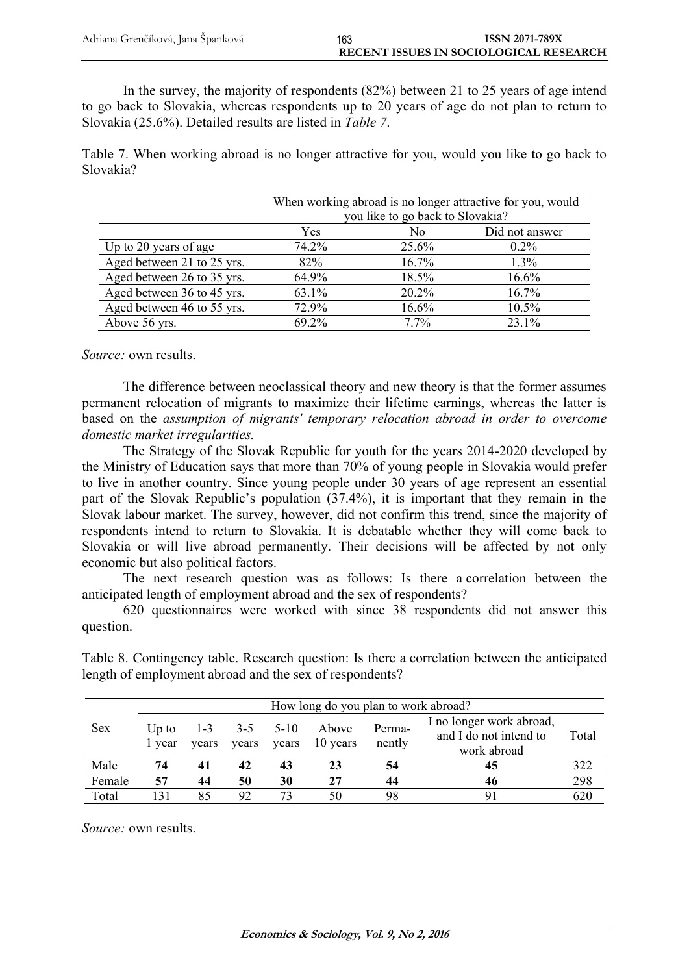In the survey, the majority of respondents (82%) between 21 to 25 years of age intend to go back to Slovakia, whereas respondents up to 20 years of age do not plan to return to Slovakia (25.6%). Detailed results are listed in *Table 7*.

Table 7. When working abroad is no longer attractive for you, would you like to go back to Slovakia?

|                            | When working abroad is no longer attractive for you, would |                                  |         |  |  |  |  |
|----------------------------|------------------------------------------------------------|----------------------------------|---------|--|--|--|--|
|                            |                                                            | you like to go back to Slovakia? |         |  |  |  |  |
|                            | Yes                                                        | Did not answer<br>No             |         |  |  |  |  |
| Up to 20 years of age      | 74.2%                                                      | 25.6%                            | $0.2\%$ |  |  |  |  |
| Aged between 21 to 25 yrs. | 82%                                                        | 16.7%                            | 1.3%    |  |  |  |  |
| Aged between 26 to 35 yrs. | 64.9%                                                      | 18.5%                            | 16.6%   |  |  |  |  |
| Aged between 36 to 45 yrs. | 63.1%                                                      | 20.2%                            | 16.7%   |  |  |  |  |
| Aged between 46 to 55 yrs. | 72.9%                                                      | 16.6%                            | 10.5%   |  |  |  |  |
| Above 56 yrs.              | 69.2%                                                      | 7.7%                             | 23.1%   |  |  |  |  |

*Source:* own results.

The difference between neoclassical theory and new theory is that the former assumes permanent relocation of migrants to maximize their lifetime earnings, whereas the latter is based on the *assumption of migrants' temporary relocation abroad in order to overcome domestic market irregularities.*

The Strategy of the Slovak Republic for youth for the years 2014-2020 developed by the Ministry of Education says that more than 70% of young people in Slovakia would prefer to live in another country. Since young people under 30 years of age represent an essential part of the Slovak Republic's population (37.4%), it is important that they remain in the Slovak labour market. The survey, however, did not confirm this trend, since the majority of respondents intend to return to Slovakia. It is debatable whether they will come back to Slovakia or will live abroad permanently. Their decisions will be affected by not only economic but also political factors.

The next research question was as follows: Is there a correlation between the anticipated length of employment abroad and the sex of respondents?

620 questionnaires were worked with since 38 respondents did not answer this question.

|        |                 |                  |                  |                 | How long do you plan to work abroad? |                  |                                                                   |       |
|--------|-----------------|------------------|------------------|-----------------|--------------------------------------|------------------|-------------------------------------------------------------------|-------|
| Sex    | Up to<br>1 year | $1 - 3$<br>vears | $3 - 5$<br>vears | $5-10$<br>years | Above<br>10 years                    | Perma-<br>nently | I no longer work abroad,<br>and I do not intend to<br>work abroad | Total |
| Male   | 74              | 41               | 42               | 43              | 23                                   | 54               | 45                                                                | 322   |
| Female | 57              | 44               | 50               | 30              | 27                                   | 44               | 46                                                                | 298   |
| Total  | 131             | 85               | 92               |                 | 50                                   | 98               | 91                                                                | 620   |

Table 8. Contingency table. Research question: Is there a correlation between the anticipated length of employment abroad and the sex of respondents?

*Source:* own results.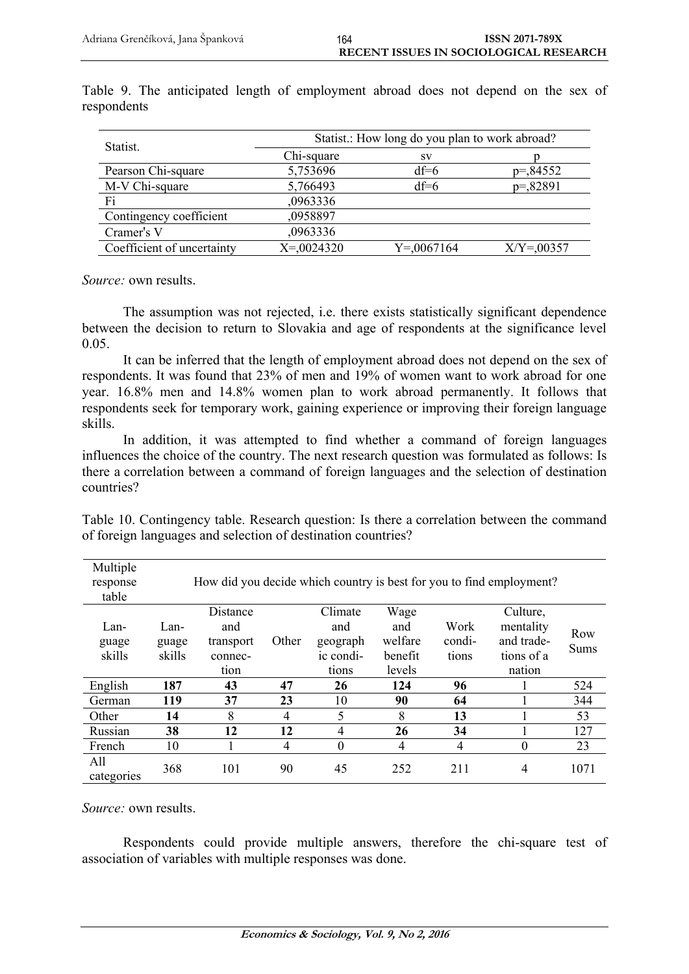| Statist.                   | Statist.: How long do you plan to work abroad? |                |                |  |  |  |
|----------------------------|------------------------------------------------|----------------|----------------|--|--|--|
|                            | Chi-square                                     | <b>SV</b>      |                |  |  |  |
| Pearson Chi-square         | 5,753696                                       | $df=6$         | $p = 84552$    |  |  |  |
| M-V Chi-square             | 5,766493                                       | $df=6$         | $p = 82891$    |  |  |  |
| Fi                         | ,0963336                                       |                |                |  |  |  |
| Contingency coefficient    | ,0958897                                       |                |                |  |  |  |
| Cramer's V                 | ,0963336                                       |                |                |  |  |  |
| Coefficient of uncertainty | $X = 0024320$                                  | $Y = 0.067164$ | $X/Y = 0.0357$ |  |  |  |

Table 9. The anticipated length of employment abroad does not depend on the sex of respondents

*Source:* own results.

The assumption was not rejected, i.e. there exists statistically significant dependence between the decision to return to Slovakia and age of respondents at the significance level 0.05.

It can be inferred that the length of employment abroad does not depend on the sex of respondents. It was found that 23% of men and 19% of women want to work abroad for one year. 16.8% men and 14.8% women plan to work abroad permanently. It follows that respondents seek for temporary work, gaining experience or improving their foreign language skills.

In addition, it was attempted to find whether a command of foreign languages influences the choice of the country. The next research question was formulated as follows: Is there a correlation between a command of foreign languages and the selection of destination countries?

Table 10. Contingency table. Research question: Is there a correlation between the command of foreign languages and selection of destination countries?

| Multiple<br>response<br>table |        |           |       |           |         |                | How did you decide which country is best for you to find employment? |      |
|-------------------------------|--------|-----------|-------|-----------|---------|----------------|----------------------------------------------------------------------|------|
|                               |        | Distance  |       | Climate   | Wage    |                | Culture,                                                             |      |
| Lan-                          | Lan-   | and       |       | and       | and     | Work           | mentality                                                            | Row  |
| guage                         | guage  | transport | Other | geograph  | welfare | condi-         | and trade-                                                           | Sums |
| skills                        | skills | connec-   |       | ic condi- | benefit | tions          | tions of a                                                           |      |
|                               |        | tion      |       | tions     | levels  |                | nation                                                               |      |
| English                       | 187    | 43        | 47    | 26        | 124     | 96             |                                                                      | 524  |
| German                        | 119    | 37        | 23    | 10        | 90      | 64             |                                                                      | 344  |
| Other                         | 14     | 8         | 4     | 5         | 8       | 13             |                                                                      | 53   |
| Russian                       | 38     | 12        | 12    | 4         | 26      | 34             |                                                                      | 127  |
| French                        | 10     |           | 4     | $\theta$  | 4       | $\overline{4}$ | $\theta$                                                             | 23   |
| All<br>categories             | 368    | 101       | 90    | 45        | 252     | 211            | 4                                                                    | 1071 |

*Source:* own results.

Respondents could provide multiple answers, therefore the chi-square test of association of variables with multiple responses was done.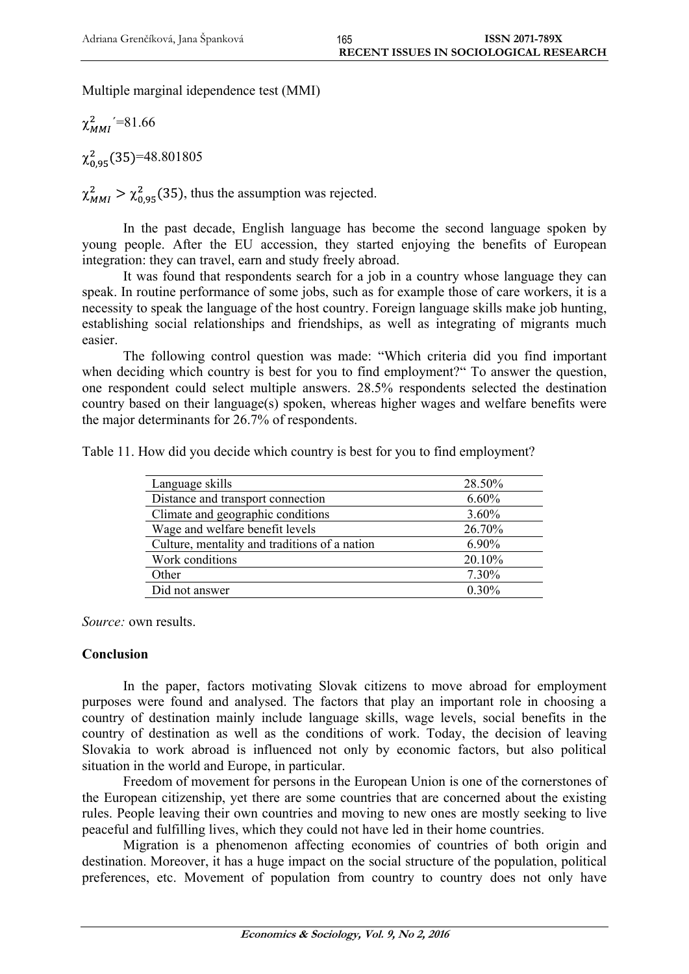Multiple marginal idependence test (MMI)

 $\chi^2_{MMI}$ '=81.66

 $\chi^{2}_{0.05}$  (35)=48.801805

 $\chi^2_{MMI} > \chi^2_{0.95}$  (35), thus the assumption was rejected.

In the past decade, English language has become the second language spoken by young people. After the EU accession, they started enjoying the benefits of European integration: they can travel, earn and study freely abroad.

It was found that respondents search for a job in a country whose language they can speak. In routine performance of some jobs, such as for example those of care workers, it is a necessity to speak the language of the host country. Foreign language skills make job hunting, establishing social relationships and friendships, as well as integrating of migrants much easier.

The following control question was made: "Which criteria did you find important when deciding which country is best for you to find employment?" To answer the question, one respondent could select multiple answers. 28.5% respondents selected the destination country based on their language(s) spoken, whereas higher wages and welfare benefits were the major determinants for 26.7% of respondents.

|  |  |  |  |  |  | Table 11. How did you decide which country is best for you to find employment? |
|--|--|--|--|--|--|--------------------------------------------------------------------------------|
|--|--|--|--|--|--|--------------------------------------------------------------------------------|

| Language skills                               | 28.50%   |
|-----------------------------------------------|----------|
| Distance and transport connection             | 6.60%    |
| Climate and geographic conditions             | 3.60%    |
| Wage and welfare benefit levels               | 26.70%   |
| Culture, mentality and traditions of a nation | 6.90%    |
| Work conditions                               | 20.10%   |
| Other                                         | 7.30%    |
| Did not answer                                | $0.30\%$ |

*Source:* own results.

# **Conclusion**

In the paper, factors motivating Slovak citizens to move abroad for employment purposes were found and analysed. The factors that play an important role in choosing a country of destination mainly include language skills, wage levels, social benefits in the country of destination as well as the conditions of work. Today, the decision of leaving Slovakia to work abroad is influenced not only by economic factors, but also political situation in the world and Europe, in particular.

Freedom of movement for persons in the European Union is one of the cornerstones of the European citizenship, yet there are some countries that are concerned about the existing rules. People leaving their own countries and moving to new ones are mostly seeking to live peaceful and fulfilling lives, which they could not have led in their home countries.

Migration is a phenomenon affecting economies of countries of both origin and destination. Moreover, it has a huge impact on the social structure of the population, political preferences, etc. Movement of population from country to country does not only have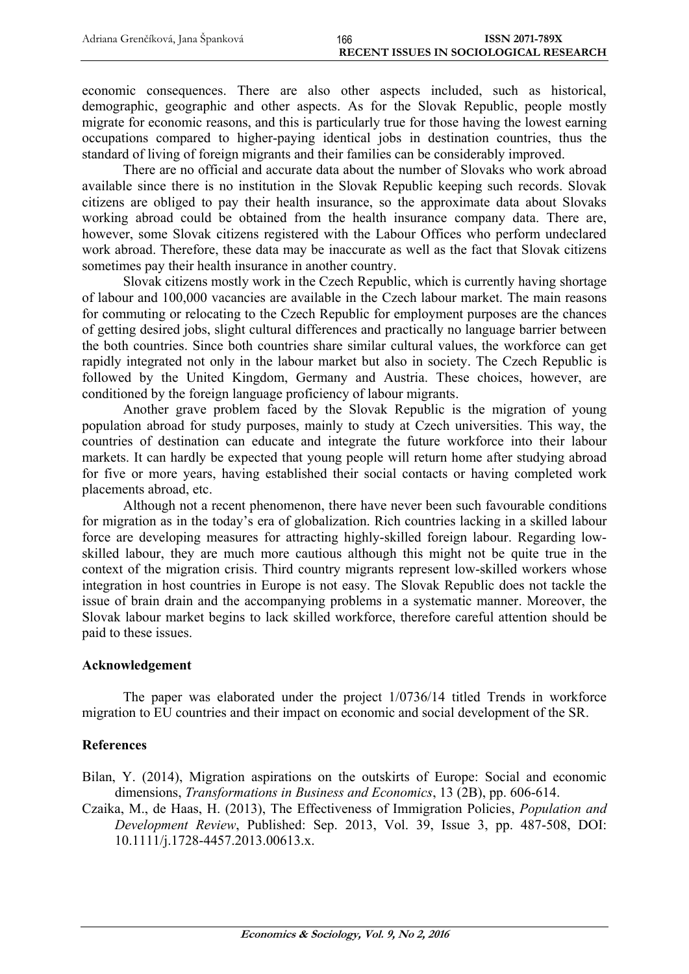economic consequences. There are also other aspects included, such as historical, demographic, geographic and other aspects. As for the Slovak Republic, people mostly migrate for economic reasons, and this is particularly true for those having the lowest earning occupations compared to higher-paying identical jobs in destination countries, thus the standard of living of foreign migrants and their families can be considerably improved.

There are no official and accurate data about the number of Slovaks who work abroad available since there is no institution in the Slovak Republic keeping such records. Slovak citizens are obliged to pay their health insurance, so the approximate data about Slovaks working abroad could be obtained from the health insurance company data. There are, however, some Slovak citizens registered with the Labour Offices who perform undeclared work abroad. Therefore, these data may be inaccurate as well as the fact that Slovak citizens sometimes pay their health insurance in another country.

Slovak citizens mostly work in the Czech Republic, which is currently having shortage of labour and 100,000 vacancies are available in the Czech labour market. The main reasons for commuting or relocating to the Czech Republic for employment purposes are the chances of getting desired jobs, slight cultural differences and practically no language barrier between the both countries. Since both countries share similar cultural values, the workforce can get rapidly integrated not only in the labour market but also in society. The Czech Republic is followed by the United Kingdom, Germany and Austria. These choices, however, are conditioned by the foreign language proficiency of labour migrants.

Another grave problem faced by the Slovak Republic is the migration of young population abroad for study purposes, mainly to study at Czech universities. This way, the countries of destination can educate and integrate the future workforce into their labour markets. It can hardly be expected that young people will return home after studying abroad for five or more years, having established their social contacts or having completed work placements abroad, etc.

Although not a recent phenomenon, there have never been such favourable conditions for migration as in the today's era of globalization. Rich countries lacking in a skilled labour force are developing measures for attracting highly-skilled foreign labour. Regarding lowskilled labour, they are much more cautious although this might not be quite true in the context of the migration crisis. Third country migrants represent low-skilled workers whose integration in host countries in Europe is not easy. The Slovak Republic does not tackle the issue of brain drain and the accompanying problems in a systematic manner. Moreover, the Slovak labour market begins to lack skilled workforce, therefore careful attention should be paid to these issues.

## **Acknowledgement**

The paper was elaborated under the project 1/0736/14 titled Trends in workforce migration to EU countries and their impact on economic and social development of the SR.

## **References**

Bilan, Y. (2014), Migration aspirations on the outskirts of Europe: Social and economic dimensions, *Transformations in Business and Economics*, 13 (2B), pp. 606-614.

Czaika, M., de Haas, H. (2013), The Effectiveness of Immigration Policies, *Population and Development Review*, Published: Sep. 2013, Vol. 39, Issue 3, pp. 487-508, DOI: 10.1111/j.1728-4457.2013.00613.x.